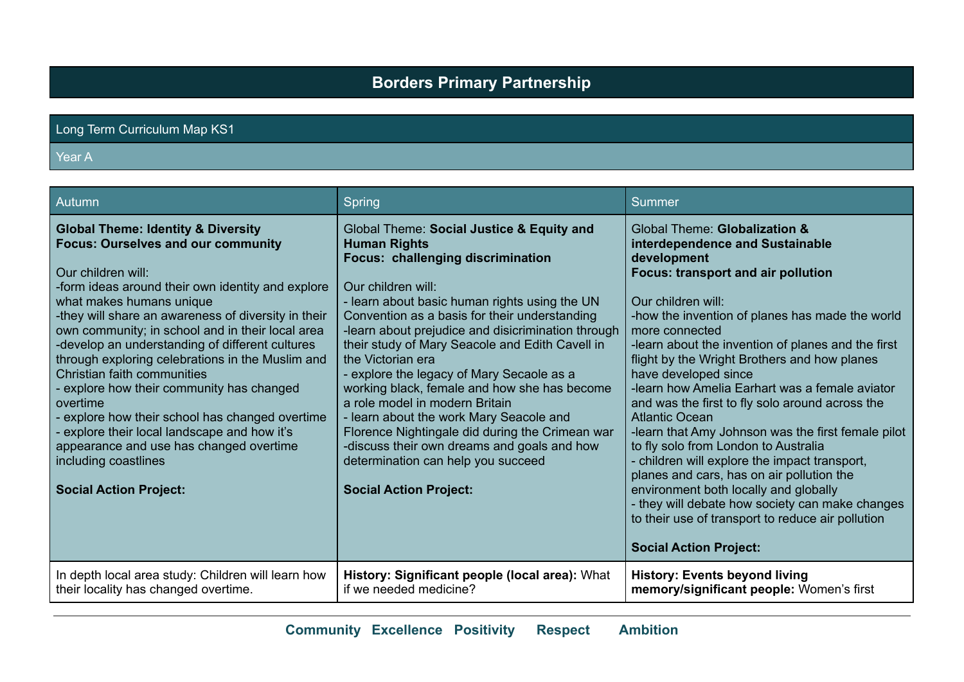# **Borders Primary Partnership**

### Long Term Curriculum Map KS1

#### Year A

| Autumn                                                                                                                                                                                                                                                                                                                                                                                                                                                                                                                                                                                                                                                                                                       | Spring                                                                                                                                                                                                                                                                                                                                                                                                                                                                                                                                                                                                                                                                                                         | Summer                                                                                                                                                                                                                                                                                                                                                                                                                                                                                                                                                                                                                                                                                                                                                                                                                                                            |
|--------------------------------------------------------------------------------------------------------------------------------------------------------------------------------------------------------------------------------------------------------------------------------------------------------------------------------------------------------------------------------------------------------------------------------------------------------------------------------------------------------------------------------------------------------------------------------------------------------------------------------------------------------------------------------------------------------------|----------------------------------------------------------------------------------------------------------------------------------------------------------------------------------------------------------------------------------------------------------------------------------------------------------------------------------------------------------------------------------------------------------------------------------------------------------------------------------------------------------------------------------------------------------------------------------------------------------------------------------------------------------------------------------------------------------------|-------------------------------------------------------------------------------------------------------------------------------------------------------------------------------------------------------------------------------------------------------------------------------------------------------------------------------------------------------------------------------------------------------------------------------------------------------------------------------------------------------------------------------------------------------------------------------------------------------------------------------------------------------------------------------------------------------------------------------------------------------------------------------------------------------------------------------------------------------------------|
| <b>Global Theme: Identity &amp; Diversity</b><br><b>Focus: Ourselves and our community</b><br>Our children will:<br>-form ideas around their own identity and explore<br>what makes humans unique<br>-they will share an awareness of diversity in their<br>own community; in school and in their local area<br>-develop an understanding of different cultures<br>through exploring celebrations in the Muslim and<br>Christian faith communities<br>explore how their community has changed<br>overtime<br>explore how their school has changed overtime<br>explore their local landscape and how it's<br>appearance and use has changed overtime<br>including coastlines<br><b>Social Action Project:</b> | Global Theme: Social Justice & Equity and<br><b>Human Rights</b><br>Focus: challenging discrimination<br>Our children will:<br>- learn about basic human rights using the UN<br>Convention as a basis for their understanding<br>-learn about prejudice and disicrimination through<br>their study of Mary Seacole and Edith Cavell in<br>the Victorian era<br>- explore the legacy of Mary Secaole as a<br>working black, female and how she has become<br>a role model in modern Britain<br>- learn about the work Mary Seacole and<br>Florence Nightingale did during the Crimean war<br>-discuss their own dreams and goals and how<br>determination can help you succeed<br><b>Social Action Project:</b> | Global Theme: Globalization &<br>interdependence and Sustainable<br>development<br><b>Focus: transport and air pollution</b><br>Our children will:<br>-how the invention of planes has made the world<br>more connected<br>-learn about the invention of planes and the first<br>flight by the Wright Brothers and how planes<br>have developed since<br>-learn how Amelia Earhart was a female aviator<br>and was the first to fly solo around across the<br><b>Atlantic Ocean</b><br>-learn that Amy Johnson was the first female pilot<br>to fly solo from London to Australia<br>- children will explore the impact transport,<br>planes and cars, has on air pollution the<br>environment both locally and globally<br>- they will debate how society can make changes<br>to their use of transport to reduce air pollution<br><b>Social Action Project:</b> |
| In depth local area study: Children will learn how<br>their locality has changed overtime.                                                                                                                                                                                                                                                                                                                                                                                                                                                                                                                                                                                                                   | History: Significant people (local area): What<br>if we needed medicine?                                                                                                                                                                                                                                                                                                                                                                                                                                                                                                                                                                                                                                       | <b>History: Events beyond living</b><br>memory/significant people: Women's first                                                                                                                                                                                                                                                                                                                                                                                                                                                                                                                                                                                                                                                                                                                                                                                  |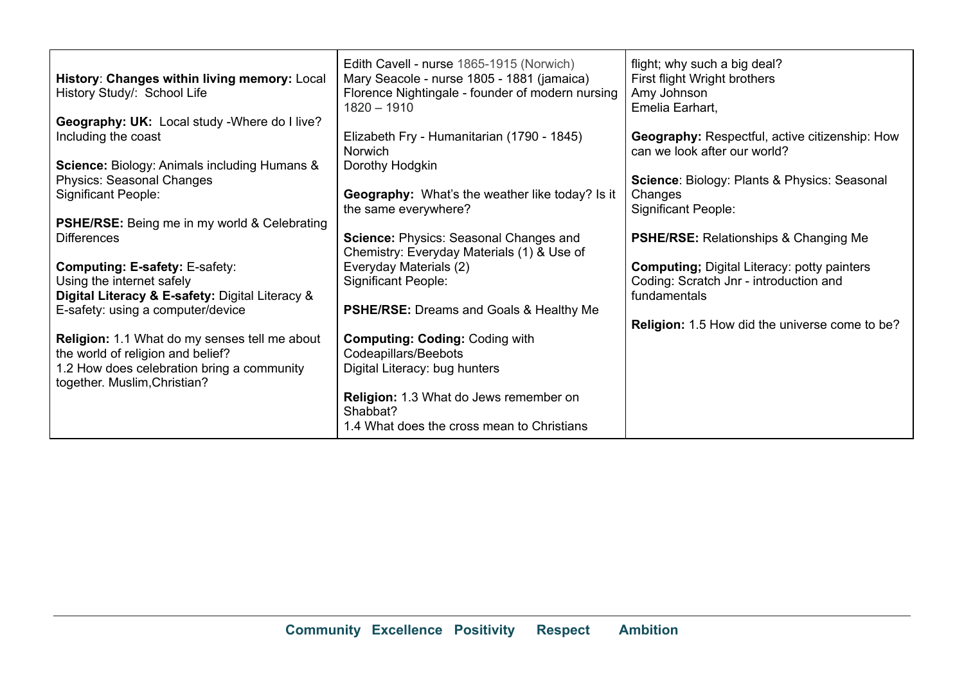| History: Changes within living memory: Local<br>History Study/: School Life                                                                                      | Edith Cavell - nurse 1865-1915 (Norwich)<br>Mary Seacole - nurse 1805 - 1881 (jamaica)<br>Florence Nightingale - founder of modern nursing<br>$1820 - 1910$ | flight; why such a big deal?<br>First flight Wright brothers<br>Amy Johnson<br>Emelia Earhart,               |
|------------------------------------------------------------------------------------------------------------------------------------------------------------------|-------------------------------------------------------------------------------------------------------------------------------------------------------------|--------------------------------------------------------------------------------------------------------------|
| Geography: UK: Local study - Where do I live?<br>Including the coast                                                                                             | Elizabeth Fry - Humanitarian (1790 - 1845)<br><b>Norwich</b>                                                                                                | <b>Geography:</b> Respectful, active citizenship: How<br>can we look after our world?                        |
| <b>Science: Biology: Animals including Humans &amp;</b><br><b>Physics: Seasonal Changes</b><br><b>Significant People:</b>                                        | Dorothy Hodgkin<br>Geography: What's the weather like today? Is it<br>the same everywhere?                                                                  | Science: Biology: Plants & Physics: Seasonal<br>Changes<br><b>Significant People:</b>                        |
| <b>PSHE/RSE:</b> Being me in my world & Celebrating<br><b>Differences</b>                                                                                        | Science: Physics: Seasonal Changes and<br>Chemistry: Everyday Materials (1) & Use of                                                                        | <b>PSHE/RSE:</b> Relationships & Changing Me                                                                 |
| <b>Computing: E-safety: E-safety:</b><br>Using the internet safely<br>Digital Literacy & E-safety: Digital Literacy &                                            | Everyday Materials (2)<br><b>Significant People:</b>                                                                                                        | <b>Computing; Digital Literacy: potty painters</b><br>Coding: Scratch Jnr - introduction and<br>fundamentals |
| E-safety: using a computer/device                                                                                                                                | <b>PSHE/RSE:</b> Dreams and Goals & Healthy Me                                                                                                              | <b>Religion:</b> 1.5 How did the universe come to be?                                                        |
| Religion: 1.1 What do my senses tell me about<br>the world of religion and belief?<br>1.2 How does celebration bring a community<br>together. Muslim, Christian? | <b>Computing: Coding: Coding with</b><br>Codeapillars/Beebots<br>Digital Literacy: bug hunters                                                              |                                                                                                              |
|                                                                                                                                                                  | <b>Religion:</b> 1.3 What do Jews remember on<br>Shabbat?<br>1.4 What does the cross mean to Christians                                                     |                                                                                                              |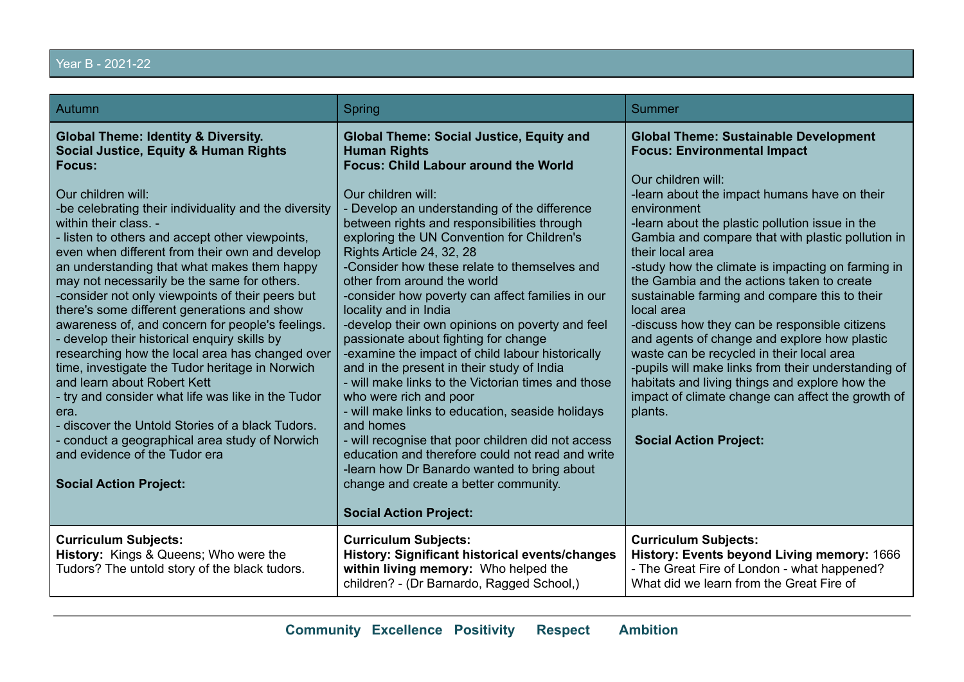# Year B - 2021-22

| Autumn                                                                                                                                                                                                                                                                                                                                                                                                                                                                                                                                                                                                                                                                                                                                                                                                                                                                                                                                                                                     | Spring                                                                                                                                                                                                                                                                                                                                                                                                                                                                                                                                                                                                                                                                                                                                                                                                                                                                                                                                                                                                                                                             | Summer                                                                                                                                                                                                                                                                                                                                                                                                                                                                                                                                                                                                                                                                                                                                                                                                                        |
|--------------------------------------------------------------------------------------------------------------------------------------------------------------------------------------------------------------------------------------------------------------------------------------------------------------------------------------------------------------------------------------------------------------------------------------------------------------------------------------------------------------------------------------------------------------------------------------------------------------------------------------------------------------------------------------------------------------------------------------------------------------------------------------------------------------------------------------------------------------------------------------------------------------------------------------------------------------------------------------------|--------------------------------------------------------------------------------------------------------------------------------------------------------------------------------------------------------------------------------------------------------------------------------------------------------------------------------------------------------------------------------------------------------------------------------------------------------------------------------------------------------------------------------------------------------------------------------------------------------------------------------------------------------------------------------------------------------------------------------------------------------------------------------------------------------------------------------------------------------------------------------------------------------------------------------------------------------------------------------------------------------------------------------------------------------------------|-------------------------------------------------------------------------------------------------------------------------------------------------------------------------------------------------------------------------------------------------------------------------------------------------------------------------------------------------------------------------------------------------------------------------------------------------------------------------------------------------------------------------------------------------------------------------------------------------------------------------------------------------------------------------------------------------------------------------------------------------------------------------------------------------------------------------------|
| <b>Global Theme: Identity &amp; Diversity.</b><br>Social Justice, Equity & Human Rights<br>Focus:<br>Our children will:<br>-be celebrating their individuality and the diversity<br>within their class. -<br>- listen to others and accept other viewpoints,<br>even when different from their own and develop<br>an understanding that what makes them happy<br>may not necessarily be the same for others.<br>-consider not only viewpoints of their peers but<br>there's some different generations and show<br>awareness of, and concern for people's feelings.<br>- develop their historical enquiry skills by<br>researching how the local area has changed over<br>time, investigate the Tudor heritage in Norwich<br>and learn about Robert Kett<br>- try and consider what life was like in the Tudor<br>era.<br>discover the Untold Stories of a black Tudors.<br>conduct a geographical area study of Norwich<br>and evidence of the Tudor era<br><b>Social Action Project:</b> | <b>Global Theme: Social Justice, Equity and</b><br><b>Human Rights</b><br><b>Focus: Child Labour around the World</b><br>Our children will:<br>- Develop an understanding of the difference<br>between rights and responsibilities through<br>exploring the UN Convention for Children's<br>Rights Article 24, 32, 28<br>-Consider how these relate to themselves and<br>other from around the world<br>-consider how poverty can affect families in our<br>locality and in India<br>-develop their own opinions on poverty and feel<br>passionate about fighting for change<br>-examine the impact of child labour historically<br>and in the present in their study of India<br>- will make links to the Victorian times and those<br>who were rich and poor<br>- will make links to education, seaside holidays<br>and homes<br>- will recognise that poor children did not access<br>education and therefore could not read and write<br>-learn how Dr Banardo wanted to bring about<br>change and create a better community.<br><b>Social Action Project:</b> | <b>Global Theme: Sustainable Development</b><br><b>Focus: Environmental Impact</b><br>Our children will:<br>-learn about the impact humans have on their<br>environment<br>-learn about the plastic pollution issue in the<br>Gambia and compare that with plastic pollution in<br>their local area<br>-study how the climate is impacting on farming in<br>the Gambia and the actions taken to create<br>sustainable farming and compare this to their<br>local area<br>-discuss how they can be responsible citizens<br>and agents of change and explore how plastic<br>waste can be recycled in their local area<br>-pupils will make links from their understanding of<br>habitats and living things and explore how the<br>impact of climate change can affect the growth of<br>plants.<br><b>Social Action Project:</b> |
| <b>Curriculum Subjects:</b><br>History: Kings & Queens; Who were the<br>Tudors? The untold story of the black tudors.                                                                                                                                                                                                                                                                                                                                                                                                                                                                                                                                                                                                                                                                                                                                                                                                                                                                      | <b>Curriculum Subjects:</b><br>History: Significant historical events/changes<br>within living memory: Who helped the<br>children? - (Dr Barnardo, Ragged School,)                                                                                                                                                                                                                                                                                                                                                                                                                                                                                                                                                                                                                                                                                                                                                                                                                                                                                                 | <b>Curriculum Subjects:</b><br>History: Events beyond Living memory: 1666<br>- The Great Fire of London - what happened?<br>What did we learn from the Great Fire of                                                                                                                                                                                                                                                                                                                                                                                                                                                                                                                                                                                                                                                          |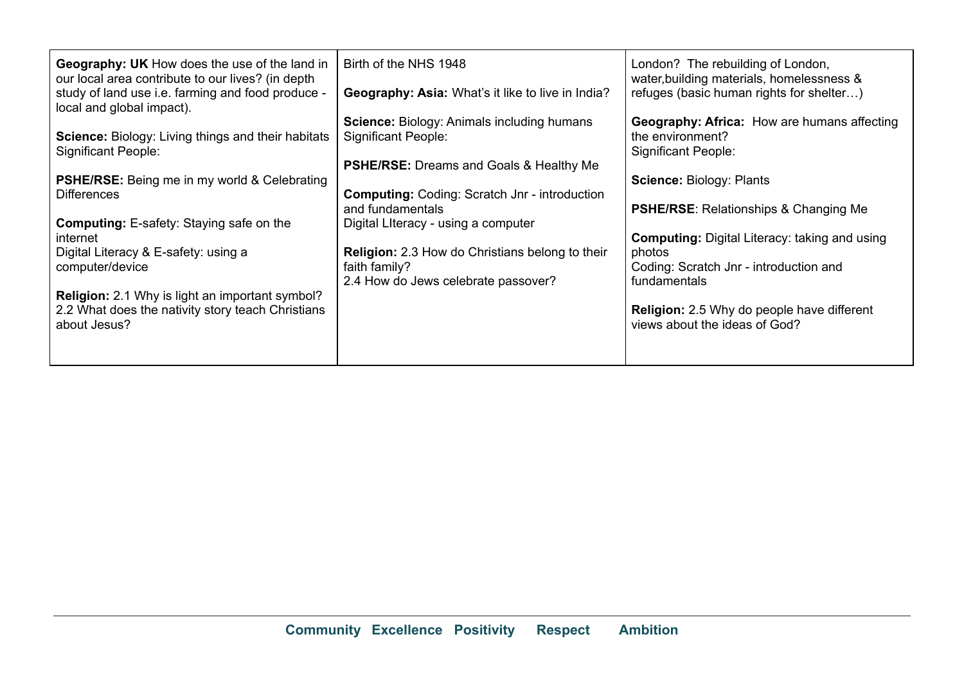| <b>Geography: UK</b> How does the use of the land in<br>our local area contribute to our lives? (in depth<br>study of land use i.e. farming and food produce -<br>local and global impact). | Birth of the NHS 1948<br><b>Geography: Asia: What's it like to live in India?</b>                                          | London? The rebuilding of London,<br>water, building materials, homelessness &<br>refuges (basic human rights for shelter) |
|---------------------------------------------------------------------------------------------------------------------------------------------------------------------------------------------|----------------------------------------------------------------------------------------------------------------------------|----------------------------------------------------------------------------------------------------------------------------|
| Science: Biology: Living things and their habitats<br><b>Significant People:</b>                                                                                                            | <b>Science:</b> Biology: Animals including humans<br><b>Significant People:</b>                                            | <b>Geography: Africa:</b> How are humans affecting<br>the environment?<br>Significant People:                              |
| <b>PSHE/RSE:</b> Being me in my world & Celebrating<br>Differences                                                                                                                          | <b>PSHE/RSE:</b> Dreams and Goals & Healthy Me<br><b>Computing: Coding: Scratch Jnr - introduction</b><br>and fundamentals | <b>Science: Biology: Plants</b><br><b>PSHE/RSE:</b> Relationships & Changing Me                                            |
| <b>Computing:</b> E-safety: Staying safe on the<br>internet<br>Digital Literacy & E-safety: using a                                                                                         | Digital Literacy - using a computer<br><b>Religion:</b> 2.3 How do Christians belong to their                              | <b>Computing:</b> Digital Literacy: taking and using<br>photos                                                             |
| computer/device                                                                                                                                                                             | faith family?<br>2.4 How do Jews celebrate passover?                                                                       | Coding: Scratch Jnr - introduction and<br>fundamentals                                                                     |
| Religion: 2.1 Why is light an important symbol?<br>2.2 What does the nativity story teach Christians<br>about Jesus?                                                                        |                                                                                                                            | <b>Religion:</b> 2.5 Why do people have different<br>views about the ideas of God?                                         |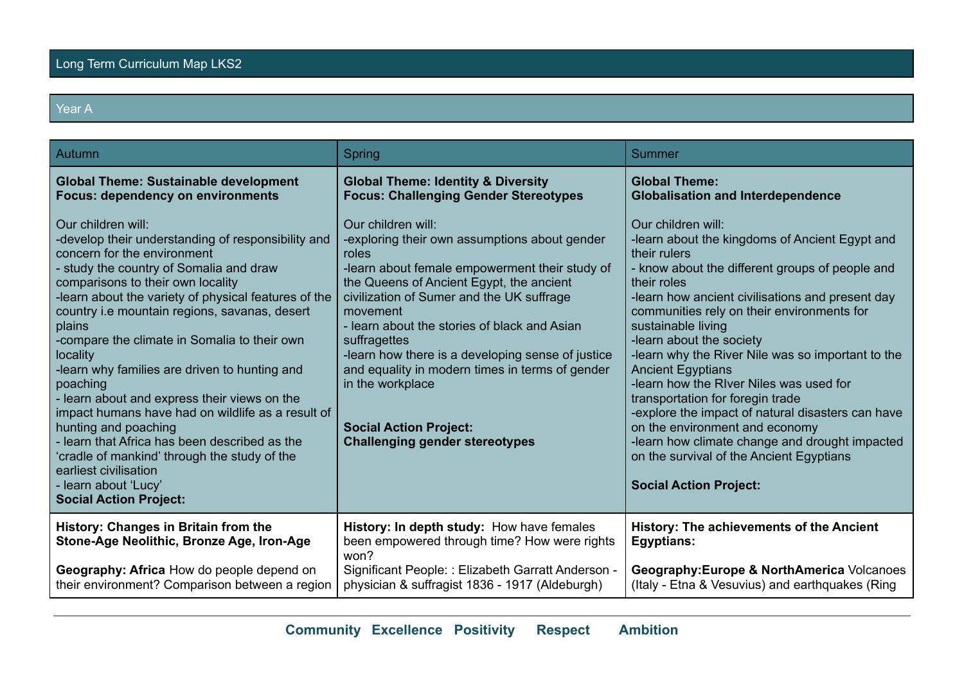## Year A

| Autumn                                                                                                                                                                                                                                                                                                                                                                                                                                                                                                                                                                                                                                                                                                                                              | Spring                                                                                                                                                                                                                                                                                                                                                                                                                                                                                                    | Summer                                                                                                                                                                                                                                                                                                                                                                                                                                                                                                                                                                                                                                                                                           |
|-----------------------------------------------------------------------------------------------------------------------------------------------------------------------------------------------------------------------------------------------------------------------------------------------------------------------------------------------------------------------------------------------------------------------------------------------------------------------------------------------------------------------------------------------------------------------------------------------------------------------------------------------------------------------------------------------------------------------------------------------------|-----------------------------------------------------------------------------------------------------------------------------------------------------------------------------------------------------------------------------------------------------------------------------------------------------------------------------------------------------------------------------------------------------------------------------------------------------------------------------------------------------------|--------------------------------------------------------------------------------------------------------------------------------------------------------------------------------------------------------------------------------------------------------------------------------------------------------------------------------------------------------------------------------------------------------------------------------------------------------------------------------------------------------------------------------------------------------------------------------------------------------------------------------------------------------------------------------------------------|
| <b>Global Theme: Sustainable development</b><br><b>Focus: dependency on environments</b>                                                                                                                                                                                                                                                                                                                                                                                                                                                                                                                                                                                                                                                            | <b>Global Theme: Identity &amp; Diversity</b><br><b>Focus: Challenging Gender Stereotypes</b>                                                                                                                                                                                                                                                                                                                                                                                                             | <b>Global Theme:</b><br><b>Globalisation and Interdependence</b>                                                                                                                                                                                                                                                                                                                                                                                                                                                                                                                                                                                                                                 |
| Our children will:<br>-develop their understanding of responsibility and<br>concern for the environment<br>- study the country of Somalia and draw<br>comparisons to their own locality<br>-learn about the variety of physical features of the<br>country i.e mountain regions, savanas, desert<br>plains<br>-compare the climate in Somalia to their own<br>locality<br>-learn why families are driven to hunting and<br>poaching<br>- learn about and express their views on the<br>impact humans have had on wildlife as a result of<br>hunting and poaching<br>- learn that Africa has been described as the<br>'cradle of mankind' through the study of the<br>earliest civilisation<br>- learn about 'Lucy'<br><b>Social Action Project:</b> | Our children will:<br>-exploring their own assumptions about gender<br>roles<br>-learn about female empowerment their study of<br>the Queens of Ancient Egypt, the ancient<br>civilization of Sumer and the UK suffrage<br>movement<br>- learn about the stories of black and Asian<br>suffragettes<br>-learn how there is a developing sense of justice<br>and equality in modern times in terms of gender<br>in the workplace<br><b>Social Action Project:</b><br><b>Challenging gender stereotypes</b> | Our children will:<br>-learn about the kingdoms of Ancient Egypt and<br>their rulers<br>- know about the different groups of people and<br>their roles<br>-learn how ancient civilisations and present day<br>communities rely on their environments for<br>sustainable living<br>-learn about the society<br>-learn why the River Nile was so important to the<br><b>Ancient Egyptians</b><br>-learn how the RIver Niles was used for<br>transportation for foregin trade<br>-explore the impact of natural disasters can have<br>on the environment and economy<br>-learn how climate change and drought impacted<br>on the survival of the Ancient Egyptians<br><b>Social Action Project:</b> |
| History: Changes in Britain from the<br>Stone-Age Neolithic, Bronze Age, Iron-Age                                                                                                                                                                                                                                                                                                                                                                                                                                                                                                                                                                                                                                                                   | History: In depth study: How have females<br>been empowered through time? How were rights<br>won?                                                                                                                                                                                                                                                                                                                                                                                                         | <b>History: The achievements of the Ancient</b><br><b>Egyptians:</b>                                                                                                                                                                                                                                                                                                                                                                                                                                                                                                                                                                                                                             |
| Geography: Africa How do people depend on<br>their environment? Comparison between a region                                                                                                                                                                                                                                                                                                                                                                                                                                                                                                                                                                                                                                                         | Significant People: : Elizabeth Garratt Anderson -<br>physician & suffragist 1836 - 1917 (Aldeburgh)                                                                                                                                                                                                                                                                                                                                                                                                      | Geography: Europe & NorthAmerica Volcanoes<br>(Italy - Etna & Vesuvius) and earthquakes (Ring                                                                                                                                                                                                                                                                                                                                                                                                                                                                                                                                                                                                    |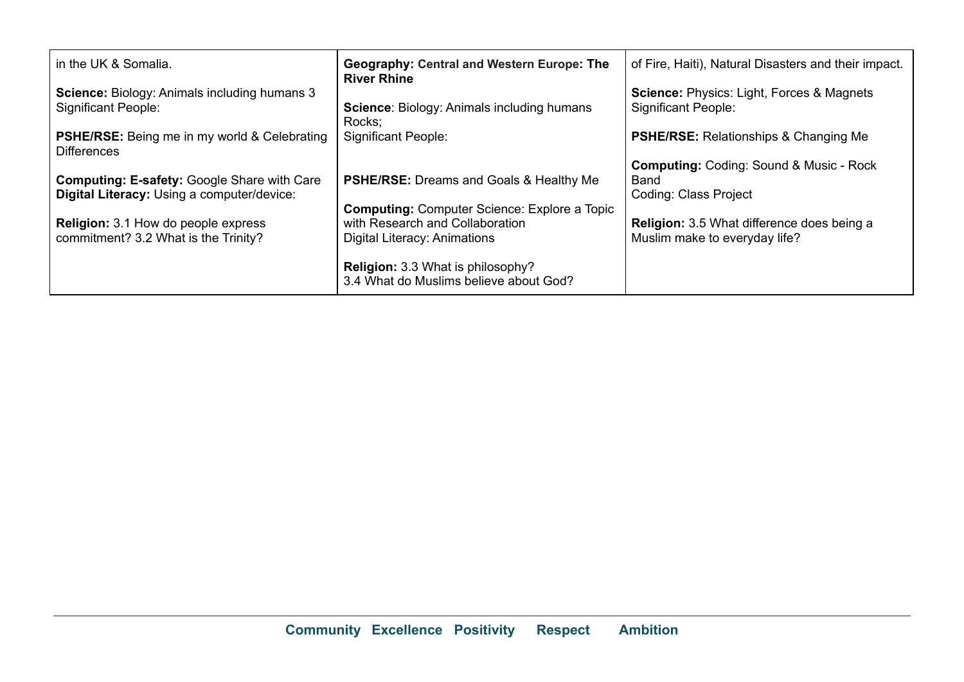| in the UK & Somalia.                                                                             | <b>Geography: Central and Western Europe: The</b><br><b>River Rhine</b>            | of Fire, Haiti), Natural Disasters and their impact.                               |
|--------------------------------------------------------------------------------------------------|------------------------------------------------------------------------------------|------------------------------------------------------------------------------------|
| <b>Science:</b> Biology: Animals including humans 3<br><b>Significant People:</b>                | <b>Science: Biology: Animals including humans</b><br>Rocks:                        | <b>Science: Physics: Light, Forces &amp; Magnets</b><br><b>Significant People:</b> |
| <b>PSHE/RSE:</b> Being me in my world & Celebrating<br><b>Differences</b>                        | <b>Significant People:</b>                                                         | <b>PSHE/RSE:</b> Relationships & Changing Me                                       |
|                                                                                                  |                                                                                    | <b>Computing: Coding: Sound &amp; Music - Rock</b>                                 |
| <b>Computing: E-safety: Google Share with Care</b><br>Digital Literacy: Using a computer/device: | <b>PSHE/RSE:</b> Dreams and Goals & Healthy Me                                     | Band<br><b>Coding: Class Project</b>                                               |
|                                                                                                  | <b>Computing:</b> Computer Science: Explore a Topic                                |                                                                                    |
| <b>Religion:</b> 3.1 How do people express<br>commitment? 3.2 What is the Trinity?               | with Research and Collaboration<br>Digital Literacy: Animations                    | <b>Religion:</b> 3.5 What difference does being a<br>Muslim make to everyday life? |
|                                                                                                  | <b>Religion: 3.3 What is philosophy?</b><br>3.4 What do Muslims believe about God? |                                                                                    |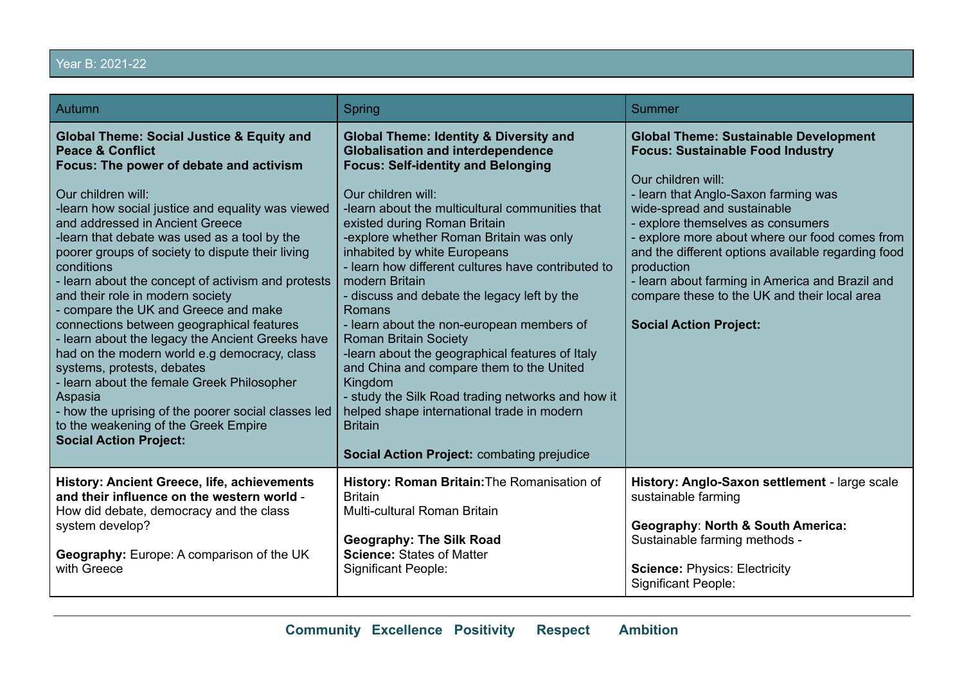# Year B: 2021-22

| Autumn                                                                                                                                                                                                                                                                                                                                                                                                                                                                                                                                                                                                                                                                                                                                                                                                                                                                 | Spring                                                                                                                                                                                                                                                                                                                                                                                                                                                                                                                                                                                                                                                                                                                                                                                                                    | <b>Summer</b>                                                                                                                                                                                                                                                                                                                                                                                                                                                                       |
|------------------------------------------------------------------------------------------------------------------------------------------------------------------------------------------------------------------------------------------------------------------------------------------------------------------------------------------------------------------------------------------------------------------------------------------------------------------------------------------------------------------------------------------------------------------------------------------------------------------------------------------------------------------------------------------------------------------------------------------------------------------------------------------------------------------------------------------------------------------------|---------------------------------------------------------------------------------------------------------------------------------------------------------------------------------------------------------------------------------------------------------------------------------------------------------------------------------------------------------------------------------------------------------------------------------------------------------------------------------------------------------------------------------------------------------------------------------------------------------------------------------------------------------------------------------------------------------------------------------------------------------------------------------------------------------------------------|-------------------------------------------------------------------------------------------------------------------------------------------------------------------------------------------------------------------------------------------------------------------------------------------------------------------------------------------------------------------------------------------------------------------------------------------------------------------------------------|
| <b>Global Theme: Social Justice &amp; Equity and</b><br><b>Peace &amp; Conflict</b><br>Focus: The power of debate and activism<br>Our children will:<br>-learn how social justice and equality was viewed<br>and addressed in Ancient Greece<br>-learn that debate was used as a tool by the<br>poorer groups of society to dispute their living<br>conditions<br>- learn about the concept of activism and protests<br>and their role in modern society<br>compare the UK and Greece and make<br>connections between geographical features<br>- learn about the legacy the Ancient Greeks have<br>had on the modern world e.g democracy, class<br>systems, protests, debates<br>- learn about the female Greek Philosopher<br>Aspasia<br>- how the uprising of the poorer social classes led<br>to the weakening of the Greek Empire<br><b>Social Action Project:</b> | <b>Global Theme: Identity &amp; Diversity and</b><br><b>Globalisation and interdependence</b><br><b>Focus: Self-identity and Belonging</b><br>Our children will:<br>-learn about the multicultural communities that<br>existed during Roman Britain<br>-explore whether Roman Britain was only<br>inhabited by white Europeans<br>- learn how different cultures have contributed to<br>modern Britain<br>- discuss and debate the legacy left by the<br>Romans<br>- learn about the non-european members of<br><b>Roman Britain Society</b><br>-learn about the geographical features of Italy<br>and China and compare them to the United<br>Kingdom<br>- study the Silk Road trading networks and how it<br>helped shape international trade in modern<br><b>Britain</b><br>Social Action Project: combating prejudice | <b>Global Theme: Sustainable Development</b><br><b>Focus: Sustainable Food Industry</b><br>Our children will:<br>- learn that Anglo-Saxon farming was<br>wide-spread and sustainable<br>- explore themselves as consumers<br>- explore more about where our food comes from<br>and the different options available regarding food<br>production<br>- learn about farming in America and Brazil and<br>compare these to the UK and their local area<br><b>Social Action Project:</b> |
| History: Ancient Greece, life, achievements<br>and their influence on the western world -<br>How did debate, democracy and the class<br>system develop?<br>Geography: Europe: A comparison of the UK<br>with Greece                                                                                                                                                                                                                                                                                                                                                                                                                                                                                                                                                                                                                                                    | History: Roman Britain: The Romanisation of<br><b>Britain</b><br>Multi-cultural Roman Britain<br><b>Geography: The Silk Road</b><br><b>Science: States of Matter</b><br><b>Significant People:</b>                                                                                                                                                                                                                                                                                                                                                                                                                                                                                                                                                                                                                        | History: Anglo-Saxon settlement - large scale<br>sustainable farming<br><b>Geography: North &amp; South America:</b><br>Sustainable farming methods -<br><b>Science: Physics: Electricity</b><br><b>Significant People:</b>                                                                                                                                                                                                                                                         |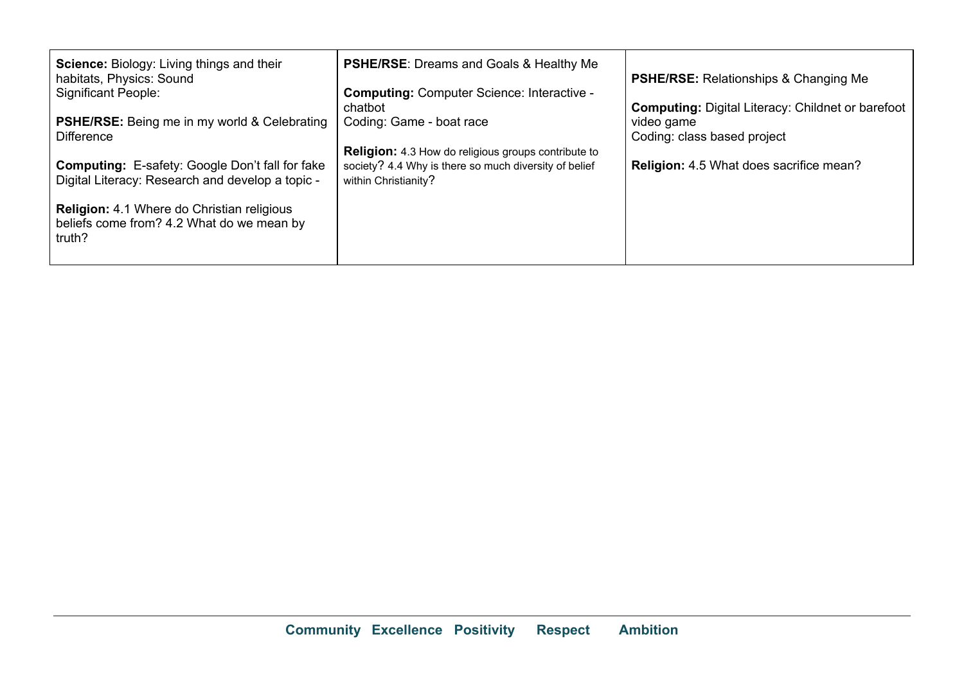| <b>Science:</b> Biology: Living things and their<br>habitats, Physics: Sound<br><b>Significant People:</b><br><b>PSHE/RSE:</b> Being me in my world & Celebrating<br><b>Difference</b> | <b>PSHE/RSE:</b> Dreams and Goals & Healthy Me<br><b>Computing: Computer Science: Interactive -</b><br>chatbot<br>Coding: Game - boat race  | <b>PSHE/RSE:</b> Relationships & Changing Me<br><b>Computing: Digital Literacy: Childnet or barefoot</b><br>video game<br>Coding: class based project |
|----------------------------------------------------------------------------------------------------------------------------------------------------------------------------------------|---------------------------------------------------------------------------------------------------------------------------------------------|-------------------------------------------------------------------------------------------------------------------------------------------------------|
| <b>Computing:</b> E-safety: Google Don't fall for fake<br>Digital Literacy: Research and develop a topic -                                                                             | <b>Religion:</b> 4.3 How do religious groups contribute to<br>society? 4.4 Why is there so much diversity of belief<br>within Christianity? | <b>Religion:</b> 4.5 What does sacrifice mean?                                                                                                        |
| <b>Religion:</b> 4.1 Where do Christian religious<br>beliefs come from? 4.2 What do we mean by<br>truth?                                                                               |                                                                                                                                             |                                                                                                                                                       |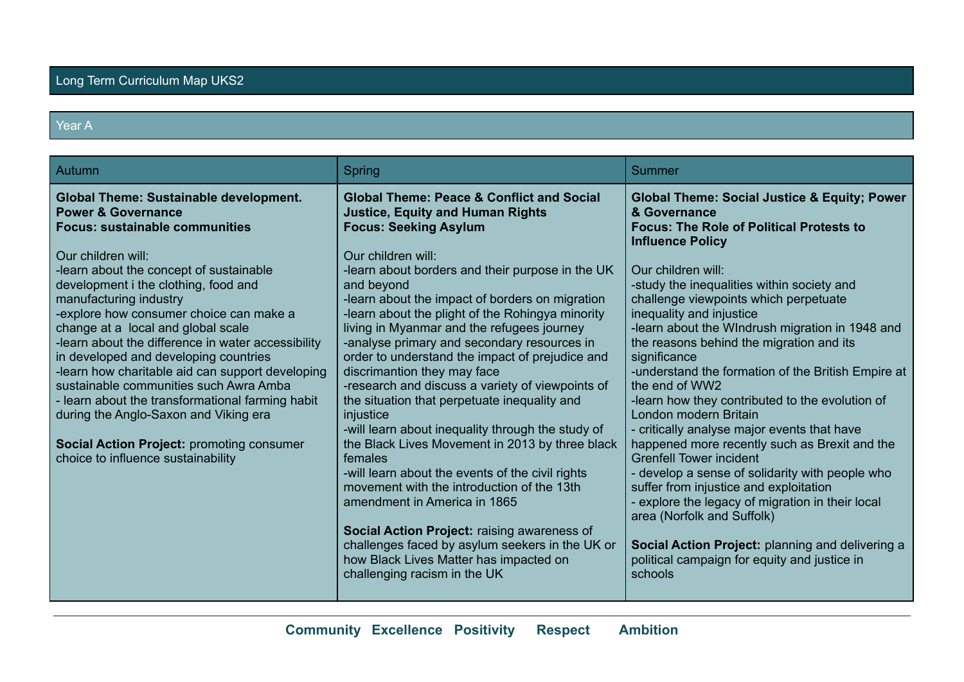#### Year A

| Autumn                                                                                                                                                                                                                                                                                                                                                                                                                                                                                                                                                                                                                                                                                                                   | Spring                                                                                                                                                                                                                                                                                                                                                                                                                                                                                                                                                                                                                                                                                                                                                                                                                                                                                                                                                                                                                                                          | Summer                                                                                                                                                                                                                                                                                                                                                                                                                                                                                                                                                                                                                                                                                                                                                                                                                                                                                                                                                                                            |
|--------------------------------------------------------------------------------------------------------------------------------------------------------------------------------------------------------------------------------------------------------------------------------------------------------------------------------------------------------------------------------------------------------------------------------------------------------------------------------------------------------------------------------------------------------------------------------------------------------------------------------------------------------------------------------------------------------------------------|-----------------------------------------------------------------------------------------------------------------------------------------------------------------------------------------------------------------------------------------------------------------------------------------------------------------------------------------------------------------------------------------------------------------------------------------------------------------------------------------------------------------------------------------------------------------------------------------------------------------------------------------------------------------------------------------------------------------------------------------------------------------------------------------------------------------------------------------------------------------------------------------------------------------------------------------------------------------------------------------------------------------------------------------------------------------|---------------------------------------------------------------------------------------------------------------------------------------------------------------------------------------------------------------------------------------------------------------------------------------------------------------------------------------------------------------------------------------------------------------------------------------------------------------------------------------------------------------------------------------------------------------------------------------------------------------------------------------------------------------------------------------------------------------------------------------------------------------------------------------------------------------------------------------------------------------------------------------------------------------------------------------------------------------------------------------------------|
| <b>Global Theme: Sustainable development.</b><br><b>Power &amp; Governance</b><br><b>Focus: sustainable communities</b><br>Our children will:<br>-learn about the concept of sustainable<br>development i the clothing, food and<br>manufacturing industry<br>-explore how consumer choice can make a<br>change at a local and global scale<br>-learn about the difference in water accessibility<br>in developed and developing countries<br>-learn how charitable aid can support developing<br>sustainable communities such Awra Amba<br>- learn about the transformational farming habit<br>during the Anglo-Saxon and Viking era<br>Social Action Project: promoting consumer<br>choice to influence sustainability | <b>Global Theme: Peace &amp; Conflict and Social</b><br><b>Justice, Equity and Human Rights</b><br><b>Focus: Seeking Asylum</b><br>Our children will:<br>-learn about borders and their purpose in the UK<br>and beyond<br>-learn about the impact of borders on migration<br>-learn about the plight of the Rohingya minority<br>living in Myanmar and the refugees journey<br>-analyse primary and secondary resources in<br>order to understand the impact of prejudice and<br>discrimantion they may face<br>-research and discuss a variety of viewpoints of<br>the situation that perpetuate inequality and<br>injustice<br>-will learn about inequality through the study of<br>the Black Lives Movement in 2013 by three black<br>females<br>-will learn about the events of the civil rights<br>movement with the introduction of the 13th<br>amendment in America in 1865<br>Social Action Project: raising awareness of<br>challenges faced by asylum seekers in the UK or<br>how Black Lives Matter has impacted on<br>challenging racism in the UK | <b>Global Theme: Social Justice &amp; Equity; Power</b><br>& Governance<br><b>Focus: The Role of Political Protests to</b><br><b>Influence Policy</b><br>Our children will:<br>-study the inequalities within society and<br>challenge viewpoints which perpetuate<br>inequality and injustice<br>-learn about the WIndrush migration in 1948 and<br>the reasons behind the migration and its<br>significance<br>-understand the formation of the British Empire at<br>the end of WW2<br>-learn how they contributed to the evolution of<br>London modern Britain<br>- critically analyse major events that have<br>happened more recently such as Brexit and the<br><b>Grenfell Tower incident</b><br>- develop a sense of solidarity with people who<br>suffer from injustice and exploitation<br>- explore the legacy of migration in their local<br>area (Norfolk and Suffolk)<br>Social Action Project: planning and delivering a<br>political campaign for equity and justice in<br>schools |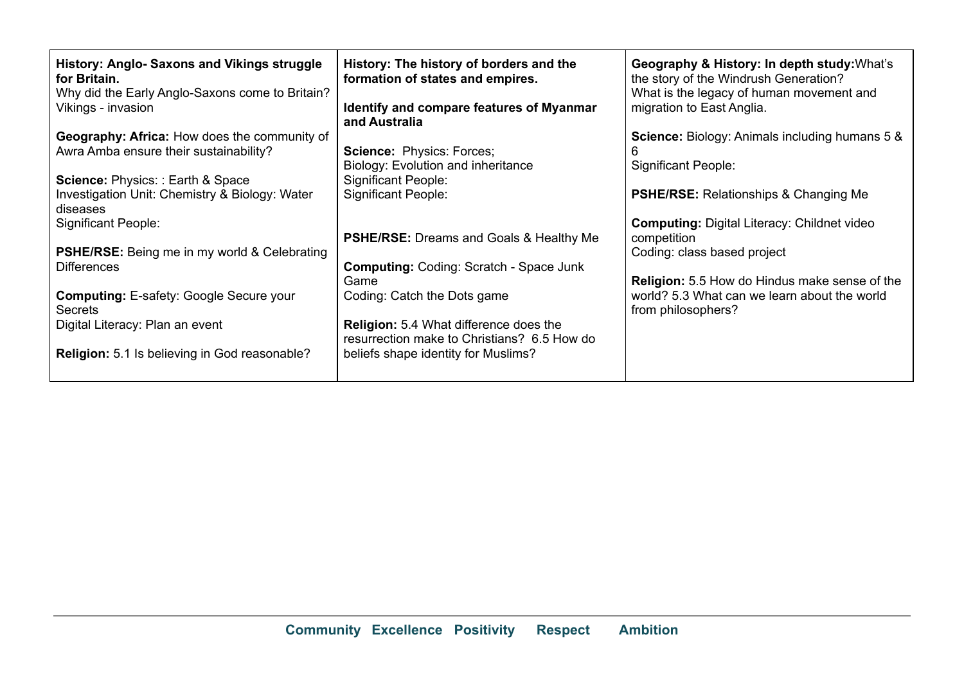| History: Anglo- Saxons and Vikings struggle<br>for Britain.<br>Why did the Early Anglo-Saxons come to Britain?<br>Vikings - invasion<br>Geography: Africa: How does the community of<br>Awra Amba ensure their sustainability?<br><b>Science: Physics:: Earth &amp; Space</b><br>Investigation Unit: Chemistry & Biology: Water<br>diseases<br><b>Significant People:</b><br><b>PSHE/RSE:</b> Being me in my world & Celebrating<br><b>Differences</b><br><b>Computing: E-safety: Google Secure your</b><br><b>Secrets</b><br>Digital Literacy: Plan an event | History: The history of borders and the<br>formation of states and empires.<br>Identify and compare features of Myanmar<br>and Australia<br><b>Science: Physics: Forces;</b><br>Biology: Evolution and inheritance<br><b>Significant People:</b><br><b>Significant People:</b><br><b>PSHE/RSE:</b> Dreams and Goals & Healthy Me<br><b>Computing: Coding: Scratch - Space Junk</b><br>Game<br>Coding: Catch the Dots game<br><b>Religion:</b> 5.4 What difference does the<br>resurrection make to Christians? 6.5 How do | Geography & History: In depth study: What's<br>the story of the Windrush Generation?<br>What is the legacy of human movement and<br>migration to East Anglia.<br><b>Science:</b> Biology: Animals including humans 5 &<br><b>Significant People:</b><br><b>PSHE/RSE:</b> Relationships & Changing Me<br><b>Computing: Digital Literacy: Childnet video</b><br>competition<br>Coding: class based project<br><b>Religion:</b> 5.5 How do Hindus make sense of the<br>world? 5.3 What can we learn about the world<br>from philosophers? |
|---------------------------------------------------------------------------------------------------------------------------------------------------------------------------------------------------------------------------------------------------------------------------------------------------------------------------------------------------------------------------------------------------------------------------------------------------------------------------------------------------------------------------------------------------------------|---------------------------------------------------------------------------------------------------------------------------------------------------------------------------------------------------------------------------------------------------------------------------------------------------------------------------------------------------------------------------------------------------------------------------------------------------------------------------------------------------------------------------|----------------------------------------------------------------------------------------------------------------------------------------------------------------------------------------------------------------------------------------------------------------------------------------------------------------------------------------------------------------------------------------------------------------------------------------------------------------------------------------------------------------------------------------|
| <b>Religion:</b> 5.1 Is believing in God reasonable?                                                                                                                                                                                                                                                                                                                                                                                                                                                                                                          | beliefs shape identity for Muslims?                                                                                                                                                                                                                                                                                                                                                                                                                                                                                       |                                                                                                                                                                                                                                                                                                                                                                                                                                                                                                                                        |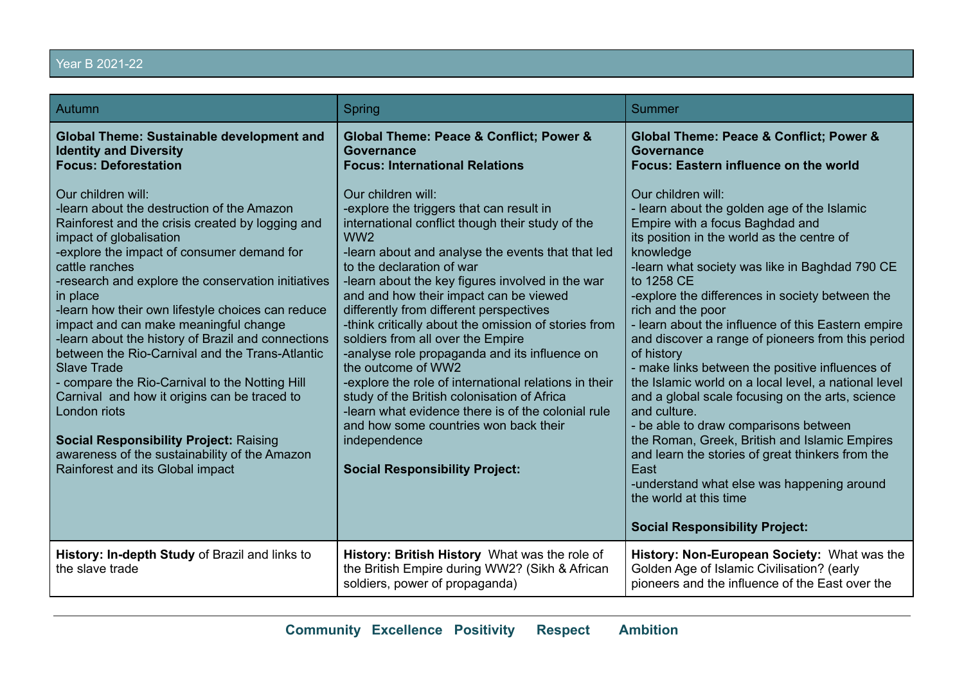# Year B 2021-22

| Autumn                                                                                                                                                                                                                                                                                                                                                                                                                                                                                                                                              | Spring                                                                                                                                                                                                                                                                                                                                                                                                                                                                                                                                                                    | <b>Summer</b>                                                                                                                                                                                                                                                                                                                                                                                                                                                                                                                                                                                                                                                     |
|-----------------------------------------------------------------------------------------------------------------------------------------------------------------------------------------------------------------------------------------------------------------------------------------------------------------------------------------------------------------------------------------------------------------------------------------------------------------------------------------------------------------------------------------------------|---------------------------------------------------------------------------------------------------------------------------------------------------------------------------------------------------------------------------------------------------------------------------------------------------------------------------------------------------------------------------------------------------------------------------------------------------------------------------------------------------------------------------------------------------------------------------|-------------------------------------------------------------------------------------------------------------------------------------------------------------------------------------------------------------------------------------------------------------------------------------------------------------------------------------------------------------------------------------------------------------------------------------------------------------------------------------------------------------------------------------------------------------------------------------------------------------------------------------------------------------------|
| <b>Global Theme: Sustainable development and</b><br><b>Identity and Diversity</b><br><b>Focus: Deforestation</b><br>Our children will:<br>-learn about the destruction of the Amazon<br>Rainforest and the crisis created by logging and<br>impact of globalisation<br>-explore the impact of consumer demand for<br>cattle ranches                                                                                                                                                                                                                 | Global Theme: Peace & Conflict; Power &<br><b>Governance</b><br><b>Focus: International Relations</b><br>Our children will:<br>-explore the triggers that can result in<br>international conflict though their study of the<br>WW <sub>2</sub><br>-learn about and analyse the events that that led<br>to the declaration of war                                                                                                                                                                                                                                          | Global Theme: Peace & Conflict; Power &<br><b>Governance</b><br><b>Focus: Eastern influence on the world</b><br>Our children will:<br>- learn about the golden age of the Islamic<br>Empire with a focus Baghdad and<br>its position in the world as the centre of<br>knowledge<br>-learn what society was like in Baghdad 790 CE                                                                                                                                                                                                                                                                                                                                 |
| -research and explore the conservation initiatives<br>in place<br>-learn how their own lifestyle choices can reduce<br>impact and can make meaningful change<br>-learn about the history of Brazil and connections<br>between the Rio-Carnival and the Trans-Atlantic<br><b>Slave Trade</b><br>- compare the Rio-Carnival to the Notting Hill<br>Carnival and how it origins can be traced to<br>London riots<br><b>Social Responsibility Project: Raising</b><br>awareness of the sustainability of the Amazon<br>Rainforest and its Global impact | -learn about the key figures involved in the war<br>and and how their impact can be viewed<br>differently from different perspectives<br>-think critically about the omission of stories from<br>soldiers from all over the Empire<br>-analyse role propaganda and its influence on<br>the outcome of WW2<br>-explore the role of international relations in their<br>study of the British colonisation of Africa<br>-learn what evidence there is of the colonial rule<br>and how some countries won back their<br>independence<br><b>Social Responsibility Project:</b> | to 1258 CE<br>-explore the differences in society between the<br>rich and the poor<br>- learn about the influence of this Eastern empire<br>and discover a range of pioneers from this period<br>of history<br>- make links between the positive influences of<br>the Islamic world on a local level, a national level<br>and a global scale focusing on the arts, science<br>and culture.<br>- be able to draw comparisons between<br>the Roman, Greek, British and Islamic Empires<br>and learn the stories of great thinkers from the<br>East<br>-understand what else was happening around<br>the world at this time<br><b>Social Responsibility Project:</b> |
| History: In-depth Study of Brazil and links to<br>the slave trade                                                                                                                                                                                                                                                                                                                                                                                                                                                                                   | History: British History What was the role of<br>the British Empire during WW2? (Sikh & African<br>soldiers, power of propaganda)                                                                                                                                                                                                                                                                                                                                                                                                                                         | History: Non-European Society: What was the<br>Golden Age of Islamic Civilisation? (early<br>pioneers and the influence of the East over the                                                                                                                                                                                                                                                                                                                                                                                                                                                                                                                      |